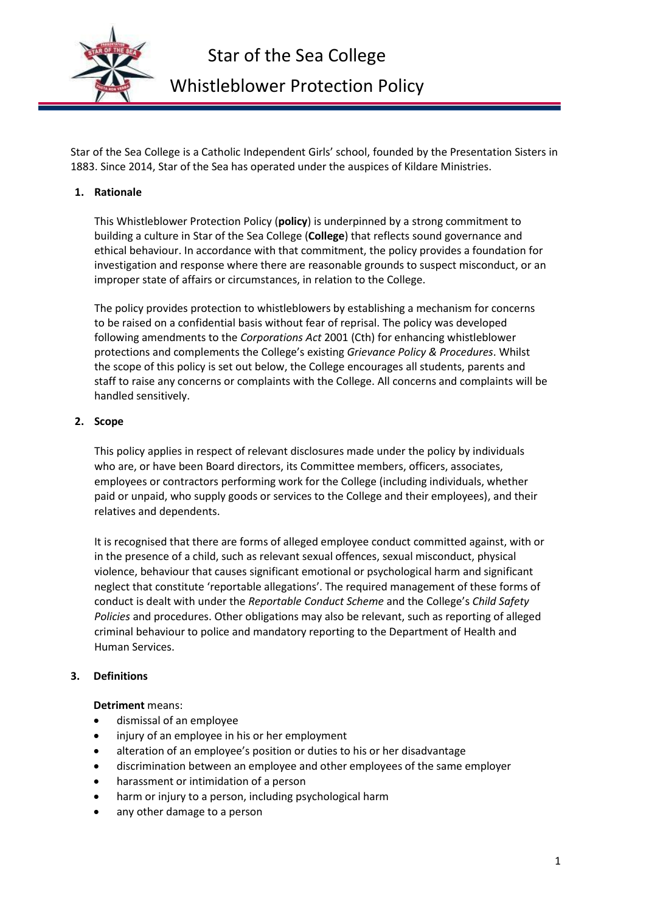

Star of the Sea College is a Catholic Independent Girls' school, founded by the Presentation Sisters in 1883. Since 2014, Star of the Sea has operated under the auspices of Kildare Ministries.

## **1. Rationale**

This Whistleblower Protection Policy (**policy**) is underpinned by a strong commitment to building a culture in Star of the Sea College (**College**) that reflects sound governance and ethical behaviour. In accordance with that commitment, the policy provides a foundation for investigation and response where there are reasonable grounds to suspect misconduct, or an improper state of affairs or circumstances, in relation to the College.

The policy provides protection to whistleblowers by establishing a mechanism for concerns to be raised on a confidential basis without fear of reprisal. The policy was developed following amendments to the *Corporations Act* 2001 (Cth) for enhancing whistleblower protections and complements the College's existing *Grievance Policy & Procedures*. Whilst the scope of this policy is set out below, the College encourages all students, parents and staff to raise any concerns or complaints with the College. All concerns and complaints will be handled sensitively.

#### **2. Scope**

This policy applies in respect of relevant disclosures made under the policy by individuals who are, or have been Board directors, its Committee members, officers, associates, employees or contractors performing work for the College (including individuals, whether paid or unpaid, who supply goods or services to the College and their employees), and their relatives and dependents.

It is recognised that there are forms of alleged employee conduct committed against, with or in the presence of a child, such as relevant sexual offences, sexual misconduct, physical violence, behaviour that causes significant emotional or psychological harm and significant neglect that constitute 'reportable allegations'. The required management of these forms of conduct is dealt with under the *Reportable Conduct Scheme* and the College's *Child Safety Policies* and procedures. Other obligations may also be relevant, such as reporting of alleged criminal behaviour to police and mandatory reporting to the Department of Health and Human Services.

# **3. Definitions**

#### **Detriment** means:

- dismissal of an employee
- injury of an employee in his or her employment
- alteration of an employee's position or duties to his or her disadvantage
- discrimination between an employee and other employees of the same employer
- harassment or intimidation of a person
- harm or injury to a person, including psychological harm
- any other damage to a person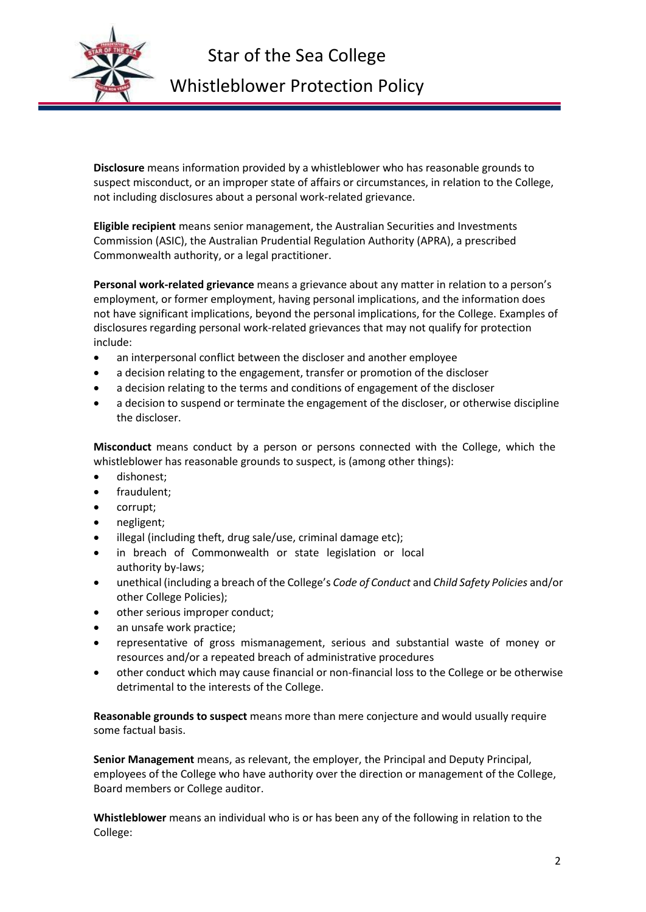

**Disclosure** means information provided by a whistleblower who has reasonable grounds to suspect misconduct, or an improper state of affairs or circumstances, in relation to the College, not including disclosures about a personal work-related grievance.

**Eligible recipient** means senior management, the Australian Securities and Investments Commission (ASIC), the Australian Prudential Regulation Authority (APRA), a prescribed Commonwealth authority, or a legal practitioner.

**Personal work-related grievance** means a grievance about any matter in relation to a person's employment, or former employment, having personal implications, and the information does not have significant implications, beyond the personal implications, for the College. Examples of disclosures regarding personal work-related grievances that may not qualify for protection include:

- an interpersonal conflict between the discloser and another employee
- a decision relating to the engagement, transfer or promotion of the discloser
- a decision relating to the terms and conditions of engagement of the discloser
- a decision to suspend or terminate the engagement of the discloser, or otherwise discipline the discloser.

**Misconduct** means conduct by a person or persons connected with the College, which the whistleblower has reasonable grounds to suspect, is (among other things):

- dishonest;
- fraudulent;
- corrupt;
- negligent;
- illegal (including theft, drug sale/use, criminal damage etc);
- in breach of Commonwealth or state legislation or local authority by-laws;
- unethical (including a breach of the College's *Code of Conduct* and *Child Safety Policies* and/or other College Policies);
- other serious improper conduct;
- an unsafe work practice;
- representative of gross mismanagement, serious and substantial waste of money or resources and/or a repeated breach of administrative procedures
- other conduct which may cause financial or non-financial loss to the College or be otherwise detrimental to the interests of the College.

**Reasonable grounds to suspect** means more than mere conjecture and would usually require some factual basis.

**Senior Management** means, as relevant, the employer, the Principal and Deputy Principal, employees of the College who have authority over the direction or management of the College, Board members or College auditor.

**Whistleblower** means an individual who is or has been any of the following in relation to the College: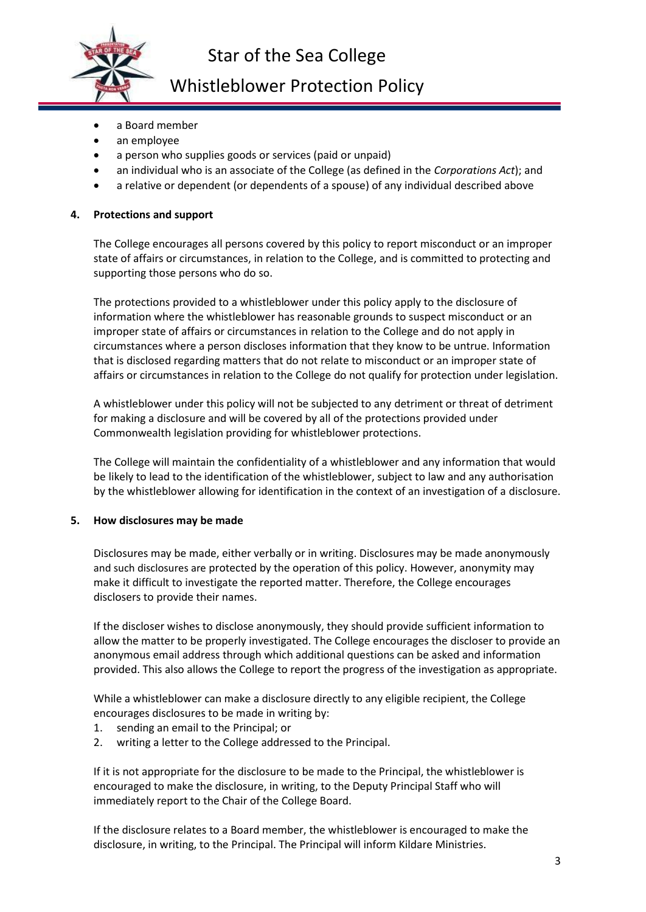

Star of the Sea College

# Whistleblower Protection Policy

- a Board member
- an employee
- a person who supplies goods or services (paid or unpaid)
- an individual who is an associate of the College (as defined in the *Corporations Act*); and
- a relative or dependent (or dependents of a spouse) of any individual described above

#### **4. Protections and support**

The College encourages all persons covered by this policy to report misconduct or an improper state of affairs or circumstances, in relation to the College, and is committed to protecting and supporting those persons who do so.

The protections provided to a whistleblower under this policy apply to the disclosure of information where the whistleblower has reasonable grounds to suspect misconduct or an improper state of affairs or circumstances in relation to the College and do not apply in circumstances where a person discloses information that they know to be untrue. Information that is disclosed regarding matters that do not relate to misconduct or an improper state of affairs or circumstances in relation to the College do not qualify for protection under legislation.

A whistleblower under this policy will not be subjected to any detriment or threat of detriment for making a disclosure and will be covered by all of the protections provided under Commonwealth legislation providing for whistleblower protections.

The College will maintain the confidentiality of a whistleblower and any information that would be likely to lead to the identification of the whistleblower, subject to law and any authorisation by the whistleblower allowing for identification in the context of an investigation of a disclosure.

#### **5. How disclosures may be made**

Disclosures may be made, either verbally or in writing. Disclosures may be made anonymously and such disclosures are protected by the operation of this policy. However, anonymity may make it difficult to investigate the reported matter. Therefore, the College encourages disclosers to provide their names.

If the discloser wishes to disclose anonymously, they should provide sufficient information to allow the matter to be properly investigated. The College encourages the discloser to provide an anonymous email address through which additional questions can be asked and information provided. This also allows the College to report the progress of the investigation as appropriate.

While a whistleblower can make a disclosure directly to any eligible recipient, the College encourages disclosures to be made in writing by:

- 1. sending an email to the Principal; or
- 2. writing a letter to the College addressed to the Principal.

If it is not appropriate for the disclosure to be made to the Principal, the whistleblower is encouraged to make the disclosure, in writing, to the Deputy Principal Staff who will immediately report to the Chair of the College Board.

If the disclosure relates to a Board member, the whistleblower is encouraged to make the disclosure, in writing, to the Principal. The Principal will inform Kildare Ministries.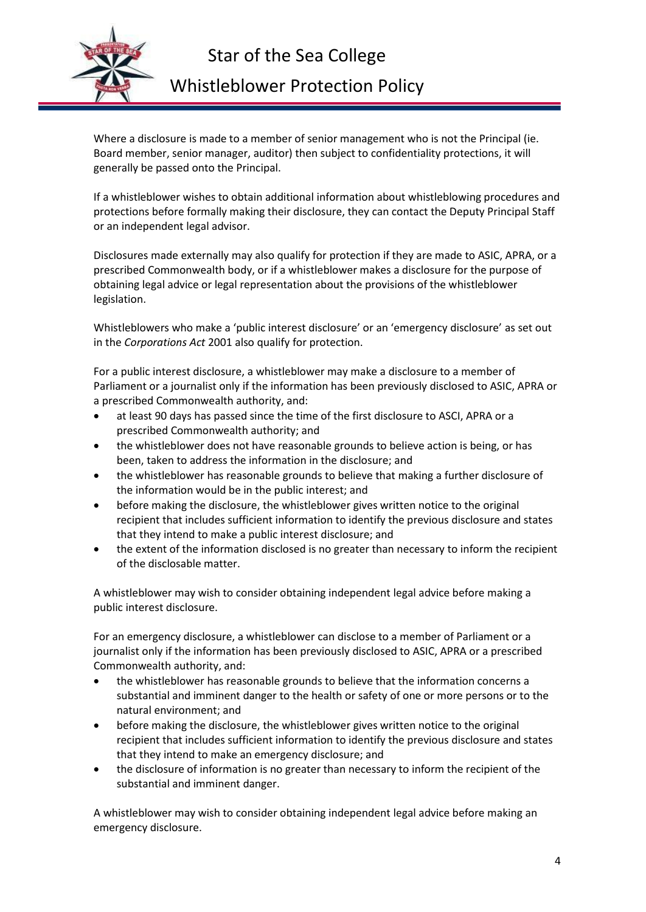

Star of the Sea College

# Whistleblower Protection Policy

Where a disclosure is made to a member of senior management who is not the Principal (ie. Board member, senior manager, auditor) then subject to confidentiality protections, it will generally be passed onto the Principal.

If a whistleblower wishes to obtain additional information about whistleblowing procedures and protections before formally making their disclosure, they can contact the Deputy Principal Staff or an independent legal advisor.

Disclosures made externally may also qualify for protection if they are made to ASIC, APRA, or a prescribed Commonwealth body, or if a whistleblower makes a disclosure for the purpose of obtaining legal advice or legal representation about the provisions of the whistleblower legislation.

Whistleblowers who make a 'public interest disclosure' or an 'emergency disclosure' as set out in the *Corporations Act* 2001 also qualify for protection.

For a public interest disclosure, a whistleblower may make a disclosure to a member of Parliament or a journalist only if the information has been previously disclosed to ASIC, APRA or a prescribed Commonwealth authority, and:

- at least 90 days has passed since the time of the first disclosure to ASCI, APRA or a prescribed Commonwealth authority; and
- the whistleblower does not have reasonable grounds to believe action is being, or has been, taken to address the information in the disclosure; and
- the whistleblower has reasonable grounds to believe that making a further disclosure of the information would be in the public interest; and
- before making the disclosure, the whistleblower gives written notice to the original recipient that includes sufficient information to identify the previous disclosure and states that they intend to make a public interest disclosure; and
- the extent of the information disclosed is no greater than necessary to inform the recipient of the disclosable matter.

A whistleblower may wish to consider obtaining independent legal advice before making a public interest disclosure.

For an emergency disclosure, a whistleblower can disclose to a member of Parliament or a journalist only if the information has been previously disclosed to ASIC, APRA or a prescribed Commonwealth authority, and:

- the whistleblower has reasonable grounds to believe that the information concerns a substantial and imminent danger to the health or safety of one or more persons or to the natural environment; and
- before making the disclosure, the whistleblower gives written notice to the original recipient that includes sufficient information to identify the previous disclosure and states that they intend to make an emergency disclosure; and
- the disclosure of information is no greater than necessary to inform the recipient of the substantial and imminent danger.

A whistleblower may wish to consider obtaining independent legal advice before making an emergency disclosure.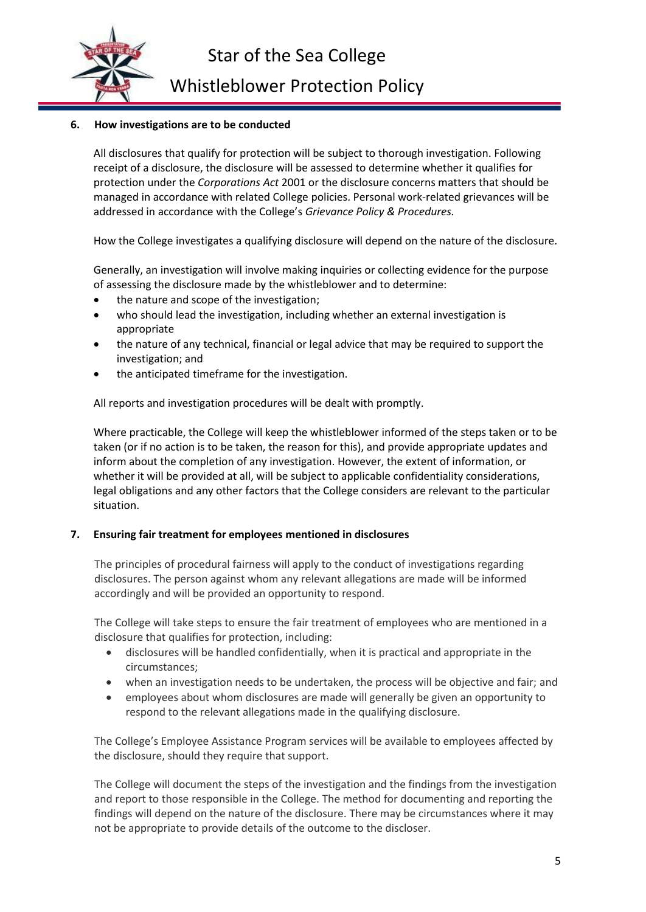

Whistleblower Protection Policy

## **6. How investigations are to be conducted**

All disclosures that qualify for protection will be subject to thorough investigation. Following receipt of a disclosure, the disclosure will be assessed to determine whether it qualifies for protection under the *Corporations Act* 2001 or the disclosure concerns matters that should be managed in accordance with related College policies. Personal work-related grievances will be addressed in accordance with the College's *Grievance Policy & Procedures.*

How the College investigates a qualifying disclosure will depend on the nature of the disclosure.

Generally, an investigation will involve making inquiries or collecting evidence for the purpose of assessing the disclosure made by the whistleblower and to determine:

- the nature and scope of the investigation;
- who should lead the investigation, including whether an external investigation is appropriate
- the nature of any technical, financial or legal advice that may be required to support the investigation; and
- the anticipated timeframe for the investigation.

All reports and investigation procedures will be dealt with promptly.

Where practicable, the College will keep the whistleblower informed of the steps taken or to be taken (or if no action is to be taken, the reason for this), and provide appropriate updates and inform about the completion of any investigation. However, the extent of information, or whether it will be provided at all, will be subject to applicable confidentiality considerations, legal obligations and any other factors that the College considers are relevant to the particular situation.

#### **7. Ensuring fair treatment for employees mentioned in disclosures**

The principles of procedural fairness will apply to the conduct of investigations regarding disclosures. The person against whom any relevant allegations are made will be informed accordingly and will be provided an opportunity to respond.

The College will take steps to ensure the fair treatment of employees who are mentioned in a disclosure that qualifies for protection, including:

- disclosures will be handled confidentially, when it is practical and appropriate in the circumstances;
- when an investigation needs to be undertaken, the process will be objective and fair; and
- employees about whom disclosures are made will generally be given an opportunity to respond to the relevant allegations made in the qualifying disclosure.

The College's Employee Assistance Program services will be available to employees affected by the disclosure, should they require that support.

The College will document the steps of the investigation and the findings from the investigation and report to those responsible in the College. The method for documenting and reporting the findings will depend on the nature of the disclosure. There may be circumstances where it may not be appropriate to provide details of the outcome to the discloser.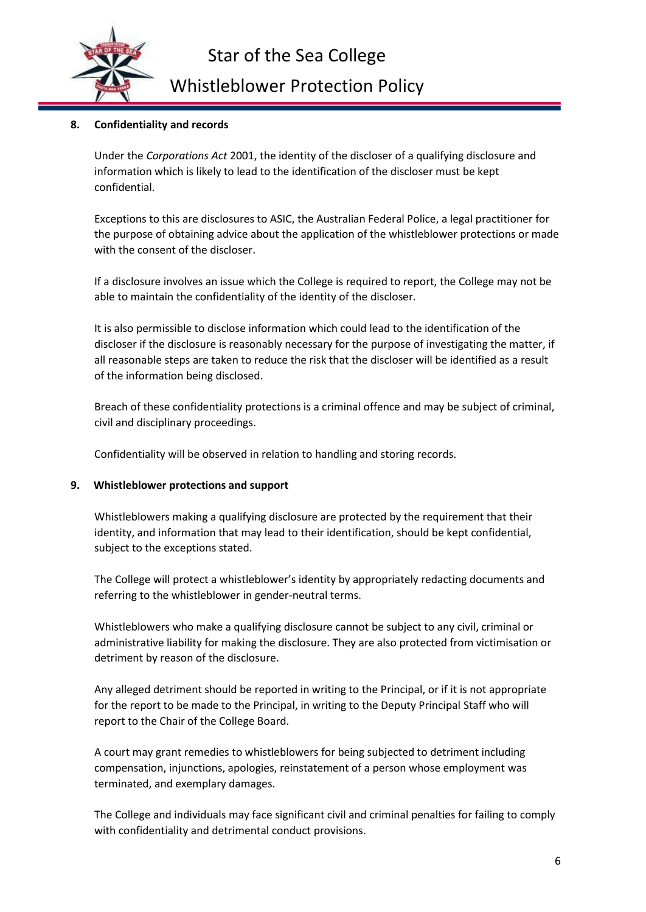

# Whistleblower Protection Policy

# **8. Confidentiality and records**

Under the *Corporations Act* 2001, the identity of the discloser of a qualifying disclosure and information which is likely to lead to the identification of the discloser must be kept confidential.

Exceptions to this are disclosures to ASIC, the Australian Federal Police, a legal practitioner for the purpose of obtaining advice about the application of the whistleblower protections or made with the consent of the discloser.

If a disclosure involves an issue which the College is required to report, the College may not be able to maintain the confidentiality of the identity of the discloser.

It is also permissible to disclose information which could lead to the identification of the discloser if the disclosure is reasonably necessary for the purpose of investigating the matter, if all reasonable steps are taken to reduce the risk that the discloser will be identified as a result of the information being disclosed.

Breach of these confidentiality protections is a criminal offence and may be subject of criminal, civil and disciplinary proceedings.

Confidentiality will be observed in relation to handling and storing records.

# **9. Whistleblower protections and support**

Whistleblowers making a qualifying disclosure are protected by the requirement that their identity, and information that may lead to their identification, should be kept confidential, subject to the exceptions stated.

The College will protect a whistleblower's identity by appropriately redacting documents and referring to the whistleblower in gender-neutral terms.

Whistleblowers who make a qualifying disclosure cannot be subject to any civil, criminal or administrative liability for making the disclosure. They are also protected from victimisation or detriment by reason of the disclosure.

Any alleged detriment should be reported in writing to the Principal, or if it is not appropriate for the report to be made to the Principal, in writing to the Deputy Principal Staff who will report to the Chair of the College Board.

A court may grant remedies to whistleblowers for being subjected to detriment including compensation, injunctions, apologies, reinstatement of a person whose employment was terminated, and exemplary damages.

The College and individuals may face significant civil and criminal penalties for failing to comply with confidentiality and detrimental conduct provisions.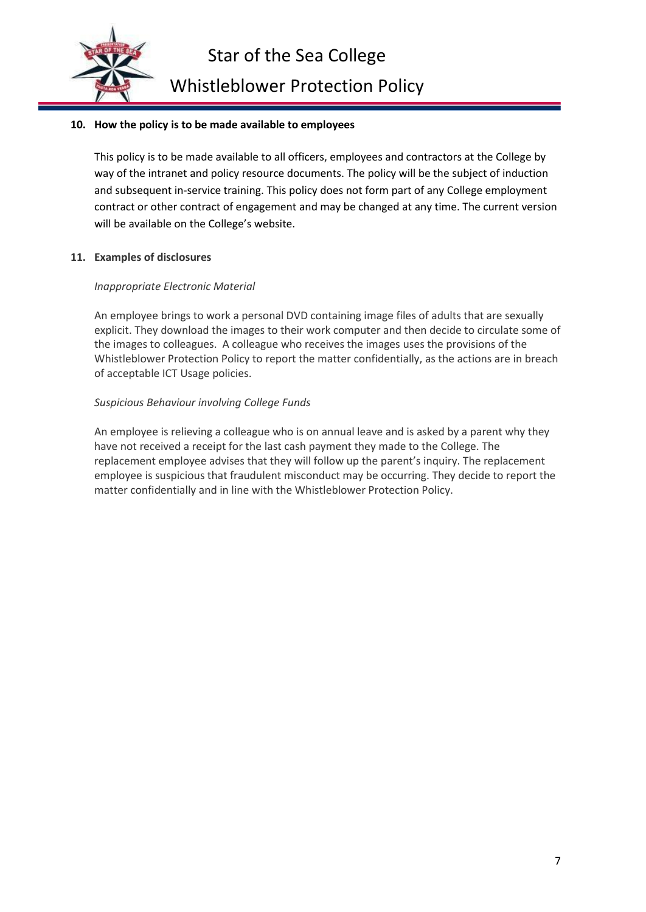

## **10. How the policy is to be made available to employees**

This policy is to be made available to all officers, employees and contractors at the College by way of the intranet and policy resource documents. The policy will be the subject of induction and subsequent in-service training. This policy does not form part of any College employment contract or other contract of engagement and may be changed at any time. The current version will be available on the College's website.

## **11. Examples of disclosures**

## *Inappropriate Electronic Material*

An employee brings to work a personal DVD containing image files of adults that are sexually explicit. They download the images to their work computer and then decide to circulate some of the images to colleagues. A colleague who receives the images uses the provisions of the Whistleblower Protection Policy to report the matter confidentially, as the actions are in breach of acceptable ICT Usage policies.

## *Suspicious Behaviour involving College Funds*

An employee is relieving a colleague who is on annual leave and is asked by a parent why they have not received a receipt for the last cash payment they made to the College. The replacement employee advises that they will follow up the parent's inquiry. The replacement employee is suspicious that fraudulent misconduct may be occurring. They decide to report the matter confidentially and in line with the Whistleblower Protection Policy.